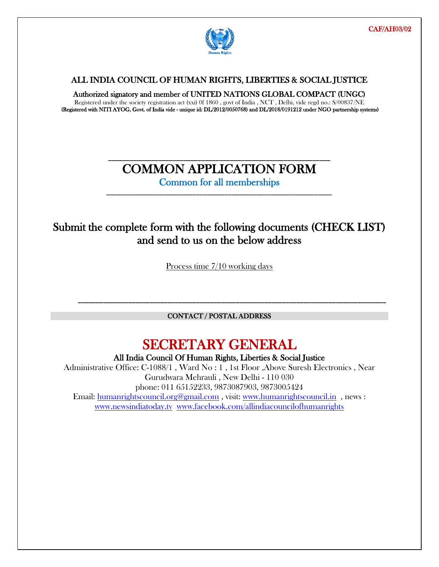

 $\overline{a}$ 

#### ALL INDIA COUNCIL OF HUMAN RIGHTS, LIBERTIES & SOCIAL JUSTICE

Authorized signatory and member of UNITED NATIONS GLOBAL COMPACT (UNGC)

Registered under the society registration act (xxi) 0f 1860 , govt of India , NCT , Delhi, vide regd no.: S/00837/NE (Registered with NITI AYOG, Govt. of India vide - unique id: DL/2012/0050768) and DL/2018/0191212 under NGO partnership systems)

### \_\_\_\_\_\_\_\_\_\_\_\_\_\_\_\_\_\_\_\_\_\_\_\_\_\_\_\_\_\_\_\_\_\_\_\_\_\_\_\_\_\_\_\_\_\_\_\_\_\_\_\_\_\_\_\_\_\_\_\_\_\_ COMMON APPLICATION FORM

Common for all memberships \_\_\_\_\_\_\_\_\_\_\_\_\_\_\_\_\_\_\_\_\_\_\_\_\_\_\_\_\_\_\_\_\_\_\_\_\_\_\_\_\_\_\_\_\_\_\_\_\_\_\_\_\_\_\_\_\_\_\_\_\_\_\_

## Submit the complete form with the following documents (CHECK LIST) and send to us on the below address

Process time 7/10 working days

CONTACT / POSTAL ADDRESS

\_\_\_\_\_\_\_\_\_\_\_\_\_\_\_\_\_\_\_\_\_\_\_\_\_\_\_\_\_\_\_\_\_\_\_\_\_\_\_\_\_\_\_\_\_\_\_\_\_\_\_\_\_\_\_\_\_\_\_\_\_\_\_\_\_\_\_\_\_\_\_\_\_\_\_\_\_\_\_\_\_\_\_\_\_\_

## SECRETARY GENERAL

All India Council Of Human Rights, Liberties & Social Justice

Administrative Office: C-1088/1 , Ward No : 1 , 1st Floor ,Above Suresh Electronics , Near Gurudwara Mehrauli , New Delhi - 110 030 phone: 011 65152233, 9873087903, 9873005424 Email: humanrightscouncil.org@gmail.com , visit: www.humanrightscouncil.in , news : www.newsindiatoday.tv www.facebook.com/allindiacouncilofhumanrights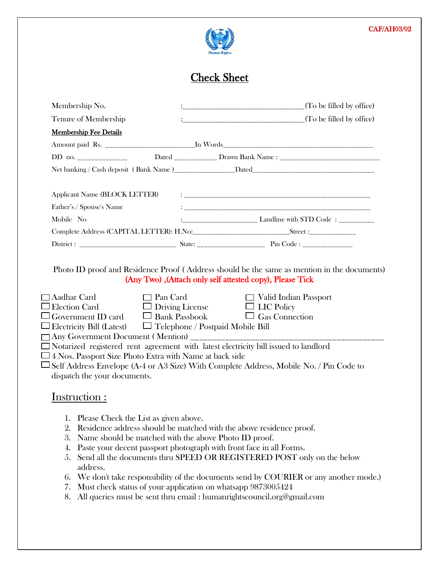#### CAF/AH03/02



# Check Sheet

|           | Membership No.                                                                                                                                      |                 |                        |                                                                                                                                                                               |
|-----------|-----------------------------------------------------------------------------------------------------------------------------------------------------|-----------------|------------------------|-------------------------------------------------------------------------------------------------------------------------------------------------------------------------------|
|           | Tenure of Membership                                                                                                                                |                 |                        |                                                                                                                                                                               |
|           | <b>Membership Fee Details</b>                                                                                                                       |                 |                        |                                                                                                                                                                               |
|           |                                                                                                                                                     |                 |                        |                                                                                                                                                                               |
|           |                                                                                                                                                     |                 |                        |                                                                                                                                                                               |
|           |                                                                                                                                                     |                 |                        |                                                                                                                                                                               |
|           | <b>Applicant Name (BLOCK LETTER)</b>                                                                                                                |                 |                        |                                                                                                                                                                               |
|           | Father's / Spouse's Name                                                                                                                            |                 |                        |                                                                                                                                                                               |
| Mobile No |                                                                                                                                                     |                 |                        |                                                                                                                                                                               |
|           |                                                                                                                                                     |                 |                        |                                                                                                                                                                               |
|           |                                                                                                                                                     |                 |                        |                                                                                                                                                                               |
|           | Aadhar Card<br><b>Election Card</b><br>Government ID card $\Box$ Bank Passbook<br>Electricity Bill (Latest) $\Box$ Telephone / Postpaid Mobile Bill | $\Box$ Pan Card | $\Box$ Driving License | (Any Two), (Attach only self attested copy), Please Tick<br>$\Box$ Valid Indian Passport<br>$\Box$ LIC Policy<br>$\Box$ Gas Connection                                        |
|           | 4 Nos. Passport Size Photo Extra with Name at back side<br>dispatch the your documents.                                                             |                 |                        | Notarized registered rent agreement with latest electricity bill issued to landlord<br>Self Address Envelope (A-4 or A3 Size) With Complete Address, Mobile No. / Pin Code to |
|           | Instruction:                                                                                                                                        |                 |                        |                                                                                                                                                                               |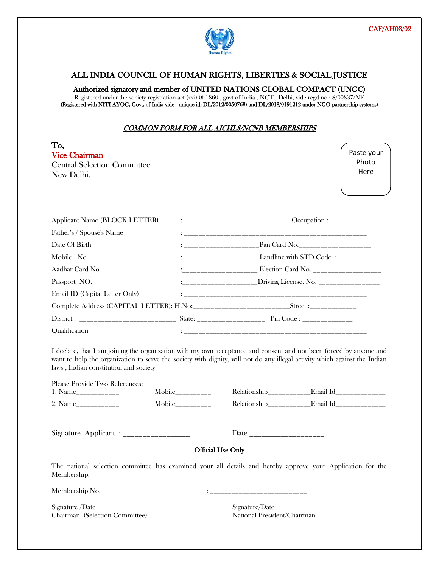

l

#### ALL INDIA COUNCIL OF HUMAN RIGHTS, LIBERTIES & SOCIAL JUSTICE

#### Authorized signatory and member of UNITED NATIONS GLOBAL COMPACT (UNGC)

Registered under the society registration act (xxi) 0f 1860 , govt of India , NCT , Delhi, vide regd no.: S/00837/NE (Registered with NITI AYOG, Govt. of India vide - unique id: DL/2012/0050768) and DL/2018/0191212 under NGO partnership systems)

#### COMMON FORM FOR ALL AICHLS/NCNB MEMBERSHIPS

| To,<br><b>Vice Chairman</b><br><b>Central Selection Committee</b><br>New Delhi. | Paste your<br>Photo<br>Here |
|---------------------------------------------------------------------------------|-----------------------------|
|                                                                                 |                             |

| <b>Applicant Name (BLOCK LETTER)</b> |  |                                                                                  |  |
|--------------------------------------|--|----------------------------------------------------------------------------------|--|
| Father's / Spouse's Name             |  |                                                                                  |  |
| Date Of Birth                        |  |                                                                                  |  |
| Mobile No                            |  |                                                                                  |  |
| Aadhar Card No.                      |  | :_________________________________ Election Card No. ___________________________ |  |
| Passport NO.                         |  | :_____________________Driving License. No. __________________                    |  |
| Email ID (Capital Letter Only)       |  |                                                                                  |  |
|                                      |  |                                                                                  |  |
|                                      |  |                                                                                  |  |
| <b>Qualification</b>                 |  |                                                                                  |  |

I declare, that I am joining the organization with my own acceptance and consent and not been forced by anyone and want to help the organization to serve the society with dignity, will not do any illegal activity which against the Indian laws , Indian constitution and society

| Please Provide Two References: |         |
|--------------------------------|---------|
| 1. Name                        | Mobi    |
| 9 Name                         | $M$ obi |

1. Name\_\_\_\_\_\_\_\_\_\_\_\_ Mobile\_\_\_\_\_\_\_\_\_\_ Relationship\_\_\_\_\_\_\_\_\_\_\_\_Email Id\_\_\_\_\_\_\_\_\_\_\_\_\_\_ Mobile\_\_\_\_\_\_\_\_\_\_\_\_ Relationship\_\_\_\_\_\_\_\_\_\_\_\_\_\_Email Id\_\_\_\_\_\_\_\_\_\_\_\_\_\_\_\_\_\_\_\_\_\_\_\_\_\_\_\_

Signature Applicant : \_\_\_\_\_\_\_\_\_\_\_\_\_\_\_\_\_ Date \_\_\_\_\_\_\_\_\_\_\_\_\_\_\_\_\_\_\_

#### Official Use Only

The national selection committee has examined your all details and hereby approve your Application for the Membership.

Membership No. 2008 2012 2022 2023 2024 2022 2023 2024 2022 2023 2024 2022 2023 2024 2022 2023 2024 2022 2023

Signature /Date Signature/Date Chairman (Selection Committee) National President/Chairman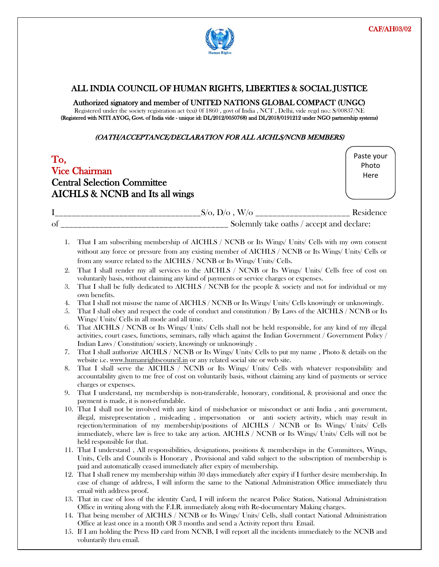

 $\overline{a}$ 

#### ALL INDIA COUNCIL OF HUMAN RIGHTS, LIBERTIES & SOCIAL JUSTICE

#### Authorized signatory and member of UNITED NATIONS GLOBAL COMPACT (UNGC)

Registered under the society registration act (xxi) 0f 1860 , govt of India , NCT , Delhi, vide regd no.: S/00837/NE (Registered with NITI AYOG, Govt. of India vide - unique id: DL/2012/0050768) and DL/2018/0191212 under NGO partnership systems)

#### (OATH/ACCEPTANCE/DECLARATION FOR ALL AICHLS/NCNB MEMBERS)

| To, | <b>Vice Chairman</b><br><b>Central Selection Committee</b><br>AICHLS & NCNB and Its all wings                                                                                                                                                                                         | Paste your<br>Photo<br>Here |
|-----|---------------------------------------------------------------------------------------------------------------------------------------------------------------------------------------------------------------------------------------------------------------------------------------|-----------------------------|
|     |                                                                                                                                                                                                                                                                                       |                             |
|     |                                                                                                                                                                                                                                                                                       |                             |
| 1.  | That I am subscribing membership of AICHLS / NCNB or Its Wings/ Units/ Cells with my own consent<br>without any force or pressure from any existing member of AICHLS / NCNB or Its Wings/ Units/ Cells or<br>from any source related to the AICHLS / NCNB or Its Wings/ Units/ Cells. |                             |
| 2.  | That I shall render my all services to the AICHLS / NCNB or Its Wings/ Units/ Cells free of cost on<br>voluntarily basis, without claiming any kind of payments or service charges or expenses.                                                                                       |                             |
| 3.  | That I shall be fully dedicated to AICHLS / NCNB for the people & society and not for individual or my<br>own benefits.                                                                                                                                                               |                             |
| 4.  | That I shall not misuse the name of AICHLS / NCNB or Its Wings/ Units/ Cells knowingly or unknowingly.                                                                                                                                                                                |                             |
| 5.  | That I shall obey and respect the code of conduct and constitution / By Laws of the AICHLS / NCNB or Its<br>Wings/ Units/ Cells in all mode and all time.                                                                                                                             |                             |
| 6.  | That AICHLS / NCNB or Its Wings/ Units/ Cells shall not be held responsible, for any kind of my illegal<br>activities, court cases, functions, seminars, rally which against the Indian Government / Government Policy /                                                              |                             |

- Indian Laws / Constitution/ society, knowingly or unknowingly . 7. That I shall authorize AICHLS / NCNB or Its Wings/ Units/ Cells to put my name , Photo & details on the website i.e. www.humanrightscouncil.in or any related social site or web site.
- 8. That I shall serve the AICHLS / NCNB or Its Wings/ Units/ Cells with whatever responsibility and accountability given to me free of cost on voluntarily basis, without claiming any kind of payments or service charges or expenses.
- 9. That I understand, my membership is non-transferable, honorary, conditional, & provisional and once the payment is made, it is non-refundable.
- 10. That I shall not be involved with any kind of misbehavior or misconduct or anti India , anti government, illegal, misrepresentation , misleading , impersonation or anti society activity, which may result in rejection/termination of my membership/positions of AICHLS / NCNB or Its Wings/ Units/ Cells immediately, where law is free to take any action. AICHLS / NCNB or Its Wings/ Units/ Cells will not be held responsible for that.
- 11. That I understand , All responsibilities, designations, positions & memberships in the Committees, Wings, Units, Cells and Councils is Honorary , Provisional and valid subject to the subscription of membership is paid and automatically ceased immediately after expiry of membership.
- 12. That I shall renew my membership within 30 days immediately after expiry if I further desire membership. In case of change of address, I will inform the same to the National Administration Office immediately thru email with address proof.
- 13. That in case of loss of the identity Card, I will inform the nearest Police Station, National Administration Office in writing along with the F.I.R. immediately along with Re-documentary Making charges.
- 14. That being member of AICHLS / NCNB or Its Wings/ Units/ Cells, shall contact National Administration Office at least once in a month OR 3 months and send a Activity report thru Email.
- 15. If I am holding the Press ID card from NCNB, I will report all the incidents immediately to the NCNB and voluntarily thru email.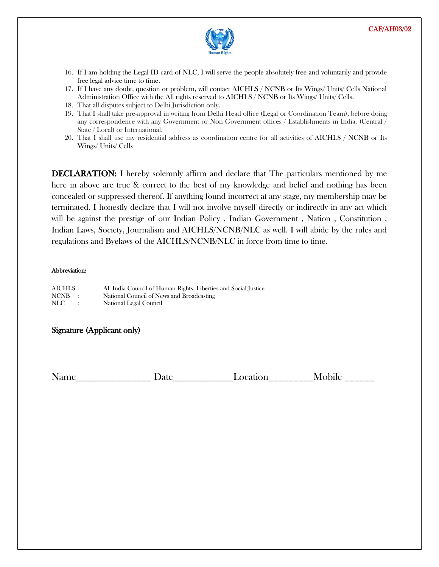

- 16. If I am holding the Legal ID card of NLC, I will serve the people absolutely free and voluntarily and provide free legal advice time to time.
- 17. If I have any doubt, question or problem, will contact AICHLS / NCNB or Its Wings/ Units/ Cells National Administration Office with the All rights reserved to AICHLS / NCNB or Its Wings/ Units/ Cells.
- 18. That all disputes subject to Delhi Jurisdiction only.
- 19. That I shall take pre-approval in writing from Delhi Head office (Legal or Coordination Team), before doing any correspondence with any Government or Non Government offices / Establishments in India. (Central / State / Local) or International.
- 20. That I shall use my residential address as coordination centre for all activities of AICHLS / NCNB or Its Wings/ Units/ Cells

DECLARATION: I hereby solemnly affirm and declare that The particulars mentioned by me here in above are true & correct to the best of my knowledge and belief and nothing has been concealed or suppressed thereof. If anything found incorrect at any stage, my membership may be terminated. I honestly declare that I will not involve myself directly or indirectly in any act which will be against the prestige of our Indian Policy , Indian Government , Nation , Constitution , Indian Laws, Society, Journalism and AICHLS/NCNB/NLC as well. I will abide by the rules and regulations and Byelaws of the AICHLS/NCNB/NLC in force from time to time.

#### Abbreviation:

| AICHLS : |               | All India Council of Human Rights, Liberties and Social Justice |
|----------|---------------|-----------------------------------------------------------------|
| NCNB :   |               | National Council of News and Broadcasting                       |
| NLC -    | $\sim$ $\sim$ | National Legal Council                                          |

#### Signature (Applicant only)

Name Date Date Location Mobile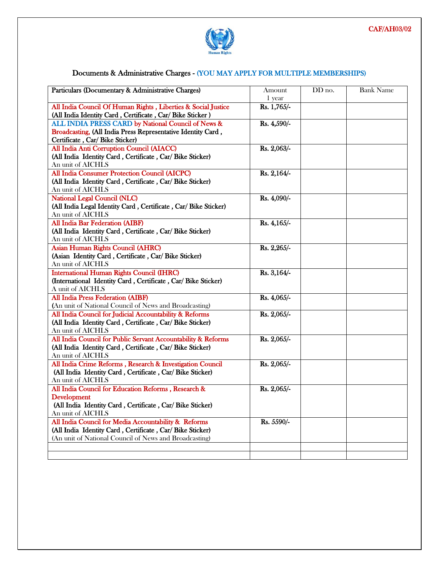

 $\overline{a}$ 

#### Documents & Administrative Charges - (YOU MAY APPLY FOR MULTIPLE MEMBERSHIPS)

| Particulars (Documentary & Administrative Charges)              | Amount<br>1 year | DD no. | <b>Bank Name</b> |
|-----------------------------------------------------------------|------------------|--------|------------------|
| All India Council Of Human Rights, Liberties & Social Justice   | Rs. 1,765/-      |        |                  |
| (All India Identity Card, Certificate, Car/ Bike Sticker)       |                  |        |                  |
| ALL INDIA PRESS CARD by National Council of News &              | Rs. 4,590/-      |        |                  |
| Broadcasting, (All India Press Representative Identity Card,    |                  |        |                  |
| Certificate, Car/ Bike Sticker)                                 |                  |        |                  |
| All India Anti Corruption Council (AIACC)                       | Rs. 2,063/-      |        |                  |
| (All India Identity Card, Certificate, Car/ Bike Sticker)       |                  |        |                  |
| An unit of AICHLS                                               |                  |        |                  |
| All India Consumer Protection Council (AICPC)                   | Rs. $2,164/-$    |        |                  |
| (All India Identity Card, Certificate, Car/ Bike Sticker)       |                  |        |                  |
| An unit of AICHLS                                               |                  |        |                  |
| National Legal Council (NLC)                                    | Rs. 4,090/-      |        |                  |
| (All India Legal Identity Card, Certificate, Car/ Bike Sticker) |                  |        |                  |
| An unit of AICHLS                                               |                  |        |                  |
| All India Bar Federation (AIBF)                                 | Rs. 4,165/-      |        |                  |
| (All India Identity Card, Certificate, Car/ Bike Sticker)       |                  |        |                  |
| An unit of AICHLS                                               |                  |        |                  |
| Asian Human Rights Council (AHRC)                               | Rs. 2,265/-      |        |                  |
| (Asian Identity Card, Certificate, Car/ Bike Sticker)           |                  |        |                  |
| An unit of AICHLS                                               |                  |        |                  |
| <b>International Human Rights Council (IHRC)</b>                | Rs. 3,164/-      |        |                  |
| (International Identity Card, Certificate, Car/ Bike Sticker)   |                  |        |                  |
| A unit of AICHLS                                                |                  |        |                  |
| All India Press Federation (AIBF)                               | Rs. 4,065/-      |        |                  |
| (An unit of National Council of News and Broadcasting)          |                  |        |                  |
| All India Council for Judicial Accountability & Reforms         | Rs. 2,065/-      |        |                  |
| (All India Identity Card, Certificate, Car/ Bike Sticker)       |                  |        |                  |
| An unit of AICHLS                                               |                  |        |                  |
| All India Council for Public Servant Accountability & Reforms   | Rs. 2,065/-      |        |                  |
| (All India Identity Card, Certificate, Car/ Bike Sticker)       |                  |        |                  |
| An unit of AICHLS                                               |                  |        |                  |
| All India Crime Reforms, Research & Investigation Council       | Rs. 2,065/-      |        |                  |
| (All India Identity Card, Certificate, Car/ Bike Sticker)       |                  |        |                  |
| An unit of AICHLS                                               |                  |        |                  |
| All India Council for Education Reforms, Research &             | Rs. 2,065/-      |        |                  |
| Development                                                     |                  |        |                  |
| (All India Identity Card, Certificate, Car/ Bike Sticker)       |                  |        |                  |
| An unit of AICHLS                                               |                  |        |                  |
| All India Council for Media Accountability & Reforms            | Rs. 5590/-       |        |                  |
| (All India Identity Card, Certificate, Car/ Bike Sticker)       |                  |        |                  |
| (An unit of National Council of News and Broadcasting)          |                  |        |                  |
|                                                                 |                  |        |                  |
|                                                                 |                  |        |                  |

 $\overline{a}$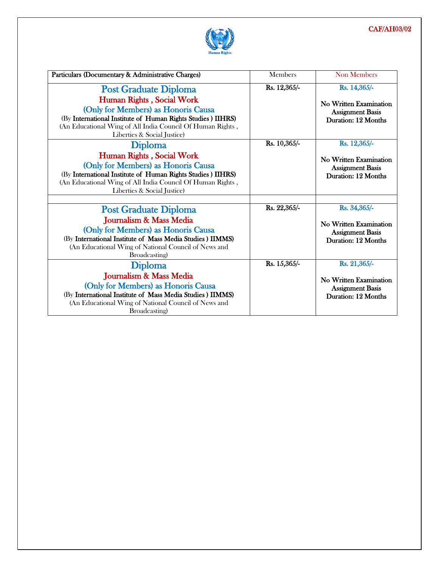#### CAF/AH03/02



l

| Particulars (Documentary & Administrative Charges)                                                                                                                                                                           | <b>Members</b> | <b>Non Members</b>                                                              |
|------------------------------------------------------------------------------------------------------------------------------------------------------------------------------------------------------------------------------|----------------|---------------------------------------------------------------------------------|
| <b>Post Graduate Diploma</b>                                                                                                                                                                                                 | Rs. 12,365/-   | Rs. 14,365/-                                                                    |
| Human Rights, Social Work<br>(Only for Members) as Honoris Causa<br>(By International Institute of Human Rights Studies) IIHRS)<br>(An Educational Wing of All India Council Of Human Rights,<br>Liberties & Social Justice) |                | No Written Examination<br><b>Assignment Basis</b><br>Duration: 12 Months        |
| <b>Diploma</b>                                                                                                                                                                                                               | Rs. 10,365/-   | Rs. 12,365/-                                                                    |
| Human Rights, Social Work<br>(Only for Members) as Honoris Causa<br>(By International Institute of Human Rights Studies) IIHRS)<br>(An Educational Wing of All India Council Of Human Rights,<br>Liberties & Social Justice) |                | No Written Examination<br><b>Assignment Basis</b><br>Duration: 12 Months        |
|                                                                                                                                                                                                                              |                |                                                                                 |
| <b>Post Graduate Diploma</b>                                                                                                                                                                                                 | Rs. 22,365/-   | Rs. 34,365/-                                                                    |
| Journalism & Mass Media<br>(Only for Members) as Honoris Causa<br>(By International Institute of Mass Media Studies) IIMMS)<br>(An Educational Wing of National Council of News and<br>Broadcasting)                         |                | No Written Examination<br><b>Assignment Basis</b><br>Duration: 12 Months        |
| <b>Diploma</b>                                                                                                                                                                                                               | Rs. 15,365/-   | Rs. 21,365/-                                                                    |
| Journalism & Mass Media<br>(Only for Members) as Honoris Causa<br>(By International Institute of Mass Media Studies) IIMMS)<br>(An Educational Wing of National Council of News and<br>Broadcasting)                         |                | <b>No Written Examination</b><br><b>Assignment Basis</b><br>Duration: 12 Months |